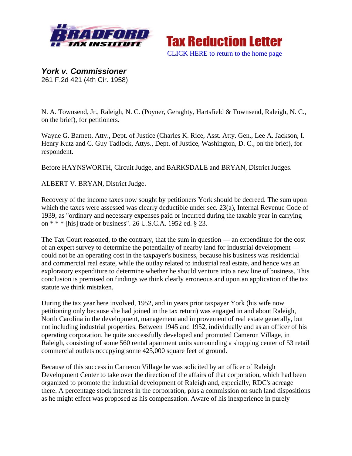



*York v. Commissioner*  261 F.2d 421 (4th Cir. 1958)

N. A. Townsend, Jr., Raleigh, N. C. (Poyner, Geraghty, Hartsfield & Townsend, Raleigh, N. C., on the brief), for petitioners.

Wayne G. Barnett, Atty., Dept. of Justice (Charles K. Rice, Asst. Atty. Gen., Lee A. Jackson, I. Henry Kutz and C. Guy Tadlock, Attys., Dept. of Justice, Washington, D. C., on the brief), for respondent.

Before HAYNSWORTH, Circuit Judge, and BARKSDALE and BRYAN, District Judges.

ALBERT V. BRYAN, District Judge.

Recovery of the income taxes now sought by petitioners York should be decreed. The sum upon which the taxes were assessed was clearly deductible under sec. 23(a), Internal Revenue Code of 1939, as "ordinary and necessary expenses paid or incurred during the taxable year in carrying on \* \* \* [his] trade or business". 26 U.S.C.A. 1952 ed. § 23.

The Tax Court reasoned, to the contrary, that the sum in question — an expenditure for the cost of an expert survey to determine the potentiality of nearby land for industrial development could not be an operating cost in the taxpayer's business, because his business was residential and commercial real estate, while the outlay related to industrial real estate, and hence was an exploratory expenditure to determine whether he should venture into a new line of business. This conclusion is premised on findings we think clearly erroneous and upon an application of the tax statute we think mistaken.

During the tax year here involved, 1952, and in years prior taxpayer York (his wife now petitioning only because she had joined in the tax return) was engaged in and about Raleigh, North Carolina in the development, management and improvement of real estate generally, but not including industrial properties. Between 1945 and 1952, individually and as an officer of his operating corporation, he quite successfully developed and promoted Cameron Village, in Raleigh, consisting of some 560 rental apartment units surrounding a shopping center of 53 retail commercial outlets occupying some 425,000 square feet of ground.

Because of this success in Cameron Village he was solicited by an officer of Raleigh Development Center to take over the direction of the affairs of that corporation, which had been organized to promote the industrial development of Raleigh and, especially, RDC's acreage there. A percentage stock interest in the corporation, plus a commission on such land dispositions as he might effect was proposed as his compensation. Aware of his inexperience in purely